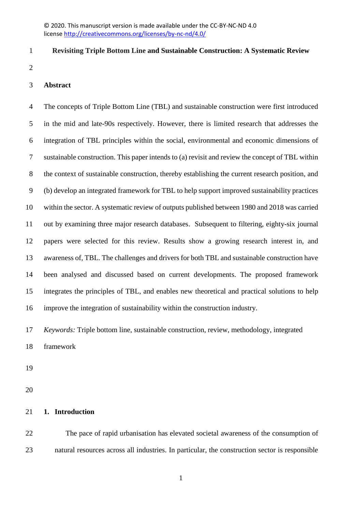### **Revisiting Triple Bottom Line and Sustainable Construction: A Systematic Review**

### **Abstract**

 The concepts of Triple Bottom Line (TBL) and sustainable construction were first introduced in the mid and late-90s respectively. However, there is limited research that addresses the integration of TBL principles within the social, environmental and economic dimensions of sustainable construction. This paper intends to (a) revisit and review the concept of TBL within the context of sustainable construction, thereby establishing the current research position, and (b) develop an integrated framework for TBL to help support improved sustainability practices within the sector. A systematic review of outputs published between 1980 and 2018 was carried out by examining three major research databases. Subsequent to filtering, eighty-six journal papers were selected for this review. Results show a growing research interest in, and awareness of, TBL. The challenges and drivers for both TBL and sustainable construction have been analysed and discussed based on current developments. The proposed framework integrates the principles of TBL, and enables new theoretical and practical solutions to help improve the integration of sustainability within the construction industry.

*Keywords:* Triple bottom line, sustainable construction, review, methodology, integrated

framework

# **1. Introduction**

 The pace of rapid urbanisation has elevated societal awareness of the consumption of natural resources across all industries. In particular, the construction sector is responsible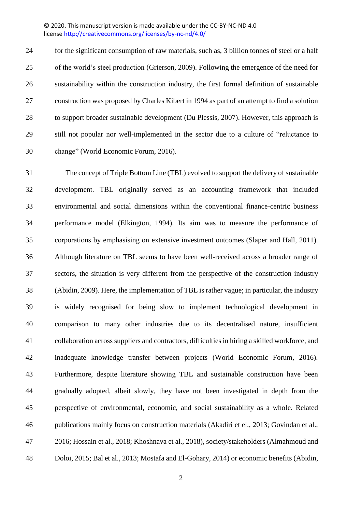for the significant consumption of raw materials, such as, 3 billion tonnes of steel or a half of the world's steel production (Grierson, 2009). Following the emergence of the need for sustainability within the construction industry, the first formal definition of sustainable construction was proposed by Charles Kibert in 1994 as part of an attempt to find a solution 28 to support broader sustainable development (Du Plessis, 2007). However, this approach is still not popular nor well-implemented in the sector due to a culture of "reluctance to change" (World Economic Forum, 2016).

 The concept of Triple Bottom Line (TBL) evolved to support the delivery of sustainable development. TBL originally served as an accounting framework that included environmental and social dimensions within the conventional finance-centric business performance model (Elkington, 1994). Its aim was to measure the performance of corporations by emphasising on extensive investment outcomes (Slaper and Hall, 2011). Although literature on TBL seems to have been well-received across a broader range of sectors, the situation is very different from the perspective of the construction industry (Abidin, 2009). Here, the implementation of TBL is rather vague; in particular, the industry is widely recognised for being slow to implement technological development in comparison to many other industries due to its decentralised nature, insufficient collaboration across suppliers and contractors, difficulties in hiring a skilled workforce, and inadequate knowledge transfer between projects (World Economic Forum, 2016). Furthermore, despite literature showing TBL and sustainable construction have been gradually adopted, albeit slowly, they have not been investigated in depth from the perspective of environmental, economic, and social sustainability as a whole. Related publications mainly focus on construction materials (Akadiri et el., 2013; Govindan et al., 2016; Hossain et al., 2018; Khoshnava et al., 2018), society/stakeholders (Almahmoud and Doloi, 2015; Bal et al., 2013; Mostafa and El-Gohary, 2014) or economic benefits (Abidin,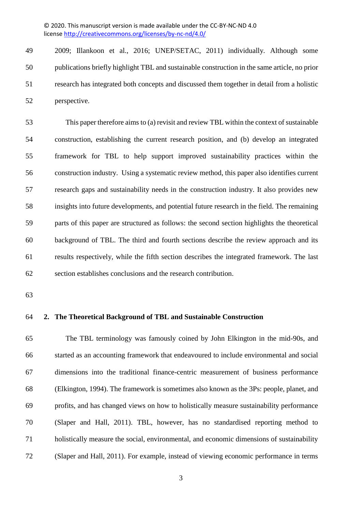2009; Illankoon et al., 2016; UNEP/SETAC, 2011) individually. Although some publications briefly highlight TBL and sustainable construction in the same article, no prior research has integrated both concepts and discussed them together in detail from a holistic perspective.

 This paper therefore aims to (a) revisit and review TBL within the context of sustainable construction, establishing the current research position, and (b) develop an integrated framework for TBL to help support improved sustainability practices within the construction industry. Using a systematic review method, this paper also identifies current research gaps and sustainability needs in the construction industry. It also provides new insights into future developments, and potential future research in the field. The remaining parts of this paper are structured as follows: the second section highlights the theoretical background of TBL. The third and fourth sections describe the review approach and its results respectively, while the fifth section describes the integrated framework. The last section establishes conclusions and the research contribution.

# **2. The Theoretical Background of TBL and Sustainable Construction**

 The TBL terminology was famously coined by John Elkington in the mid-90s, and started as an accounting framework that endeavoured to include environmental and social dimensions into the traditional finance-centric measurement of business performance (Elkington, 1994). The framework is sometimes also known as the 3Ps: people, planet, and profits, and has changed views on how to holistically measure sustainability performance (Slaper and Hall, 2011). TBL, however, has no standardised reporting method to holistically measure the social, environmental, and economic dimensions of sustainability (Slaper and Hall, 2011). For example, instead of viewing economic performance in terms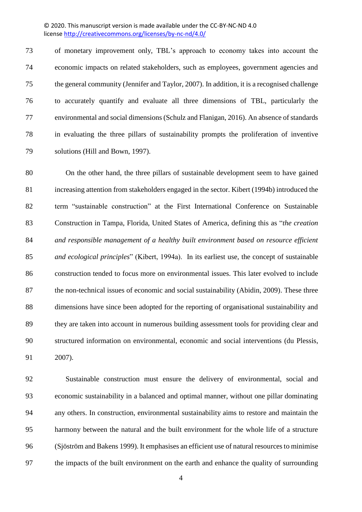of monetary improvement only, TBL's approach to economy takes into account the economic impacts on related stakeholders, such as employees, government agencies and the general community (Jennifer and Taylor, 2007). In addition, it is a recognised challenge to accurately quantify and evaluate all three dimensions of TBL, particularly the environmental and social dimensions (Schulz and Flanigan, 2016). An absence of standards in evaluating the three pillars of sustainability prompts the proliferation of inventive solutions (Hill and Bown, 1997).

 On the other hand, the three pillars of sustainable development seem to have gained increasing attention from stakeholders engaged in the sector. Kibert (1994b) introduced the term "sustainable construction" at the First International Conference on Sustainable Construction in Tampa, Florida, United States of America, defining this as "*the creation and responsible management of a healthy built environment based on resource efficient and ecological principles*" (Kibert, 1994a). In its earliest use, the concept of sustainable construction tended to focus more on environmental issues. This later evolved to include 87 the non-technical issues of economic and social sustainability (Abidin, 2009). These three dimensions have since been adopted for the reporting of organisational sustainability and they are taken into account in numerous building assessment tools for providing clear and structured information on environmental, economic and social interventions (du Plessis, 2007).

 Sustainable construction must ensure the delivery of environmental, social and economic sustainability in a balanced and optimal manner, without one pillar dominating any others. In construction, environmental sustainability aims to restore and maintain the harmony between the natural and the built environment for the whole life of a structure (Sjöström and Bakens 1999). It emphasises an efficient use of natural resources to minimise the impacts of the built environment on the earth and enhance the quality of surrounding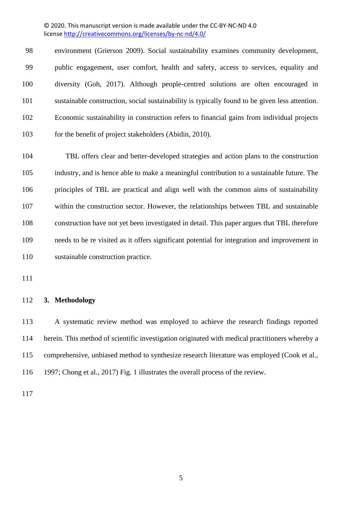environment (Grierson 2009). Social sustainability examines community development, public engagement, user comfort, health and safety, access to services, equality and diversity (Goh, 2017). Although people-centred solutions are often encouraged in sustainable construction, social sustainability is typically found to be given less attention. Economic sustainability in construction refers to financial gains from individual projects for the benefit of project stakeholders (Abidin, 2010).

 TBL offers clear and better-developed strategies and action plans to the construction industry, and is hence able to make a meaningful contribution to a sustainable future. The principles of TBL are practical and align well with the common aims of sustainability within the construction sector. However, the relationships between TBL and sustainable construction have not yet been investigated in detail. This paper argues that TBL therefore needs to be re visited as it offers significant potential for integration and improvement in sustainable construction practice.

#### **3. Methodology**

 A systematic review method was employed to achieve the research findings reported herein. This method of scientific investigation originated with medical practitioners whereby a comprehensive, unbiased method to synthesize research literature was employed (Cook et al., 1997; Chong et al., 2017) Fig. 1 illustrates the overall process of the review.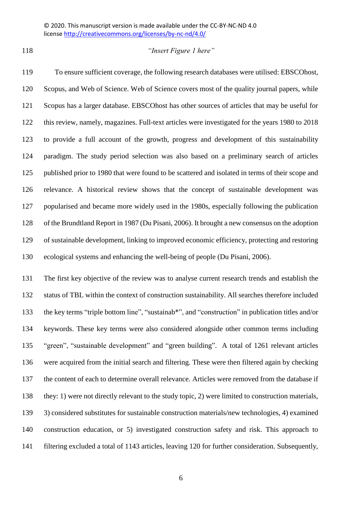# *"Insert Figure 1 here"*

 To ensure sufficient coverage, the following research databases were utilised: EBSCOhost, Scopus, and Web of Science. Web of Science covers most of the quality journal papers, while Scopus has a larger database. EBSCOhost has other sources of articles that may be useful for this review, namely, magazines. Full-text articles were investigated for the years 1980 to 2018 to provide a full account of the growth, progress and development of this sustainability paradigm. The study period selection was also based on a preliminary search of articles published prior to 1980 that were found to be scattered and isolated in terms of their scope and relevance. A historical review shows that the concept of sustainable development was popularised and became more widely used in the 1980s, especially following the publication of the Brundtland Report in 1987 (Du Pisani, 2006). It brought a new consensus on the adoption of sustainable development, linking to improved economic efficiency, protecting and restoring ecological systems and enhancing the well-being of people (Du Pisani, 2006).

 The first key objective of the review was to analyse current research trends and establish the status of TBL within the context of construction sustainability. All searches therefore included the key terms "triple bottom line", "sustainab\*", and "construction" in publication titles and/or keywords. These key terms were also considered alongside other common terms including "green", "sustainable development" and "green building". A total of 1261 relevant articles were acquired from the initial search and filtering. These were then filtered again by checking the content of each to determine overall relevance. Articles were removed from the database if they: 1) were not directly relevant to the study topic, 2) were limited to construction materials, 3) considered substitutes for sustainable construction materials/new technologies, 4) examined construction education, or 5) investigated construction safety and risk. This approach to filtering excluded a total of 1143 articles, leaving 120 for further consideration. Subsequently,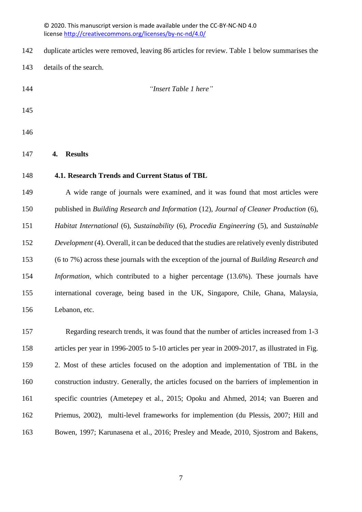# duplicate articles were removed, leaving 86 articles for review. Table 1 below summarises the

- details of the search.
- 

*"Insert Table 1 here"*

- 
- 

# **4. Results**

# **4.1. Research Trends and Current Status of TBL**

 A wide range of journals were examined, and it was found that most articles were published in *Building Research and Information* (12), *Journal of Cleaner Production* (6), *Habitat International* (6), *Sustainability* (6), *Procedia Engineering* (5), and *Sustainable Development* (4). Overall, it can be deduced that the studies are relatively evenly distributed (6 to 7%) across these journals with the exception of the journal of *Building Research and Information*, which contributed to a higher percentage (13.6%). These journals have international coverage, being based in the UK, Singapore, Chile, Ghana, Malaysia, Lebanon, etc.

 Regarding research trends, it was found that the number of articles increased from 1-3 articles per year in 1996-2005 to 5-10 articles per year in 2009-2017, as illustrated in Fig. 2. Most of these articles focused on the adoption and implementation of TBL in the construction industry. Generally, the articles focused on the barriers of implemention in specific countries (Ametepey et al., 2015; Opoku and Ahmed, 2014; van Bueren and Priemus, 2002), multi-level frameworks for implemention (du Plessis, 2007; Hill and Bowen, 1997; Karunasena et al., 2016; Presley and Meade, 2010, Sjostrom and Bakens,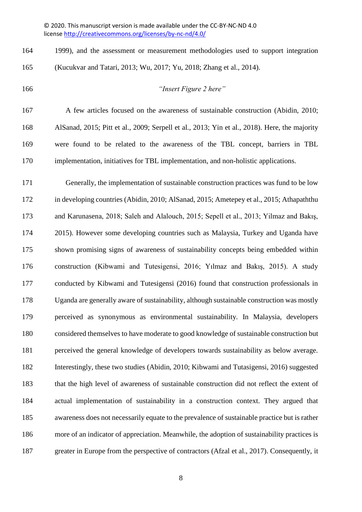1999), and the assessment or measurement methodologies used to support integration (Kucukvar and Tatari, 2013; Wu, 2017; Yu, 2018; Zhang et al., 2014). *"Insert Figure 2 here"* A few articles focused on the awareness of sustainable construction (Abidin, 2010; AlSanad, 2015; Pitt et al., 2009; Serpell et al., 2013; Yin et al., 2018). Here, the majority were found to be related to the awareness of the TBL concept, barriers in TBL implementation, initiatives for TBL implementation, and non-holistic applications. Generally, the implementation of sustainable construction practices was fund to be low in developing countries (Abidin, 2010; AlSanad, 2015; Ametepey et al., 2015; Athapaththu and Karunasena, 2018; Saleh and Alalouch, 2015; Sepell et al., 2013; Yilmaz and Bakış, 2015). However some developing countries such as Malaysia, Turkey and Uganda have shown promising signs of awareness of sustainability concepts being embedded within construction (Kibwami and Tutesigensi, 2016; Yılmaz and Bakış, 2015). A study conducted by Kibwami and Tutesigensi (2016) found that construction professionals in Uganda are generally aware of sustainability, although sustainable construction was mostly perceived as synonymous as environmental sustainability. In Malaysia, developers considered themselves to have moderate to good knowledge of sustainable construction but perceived the general knowledge of developers towards sustainability as below average. Interestingly, these two studies (Abidin, 2010; Kibwami and Tutasigensi, 2016) suggested that the high level of awareness of sustainable construction did not reflect the extent of actual implementation of sustainability in a construction context. They argued that awareness does not necessarily equate to the prevalence of sustainable practice but is rather more of an indicator of appreciation. Meanwhile, the adoption of sustainability practices is greater in Europe from the perspective of contractors (Afzal et al., 2017). Consequently, it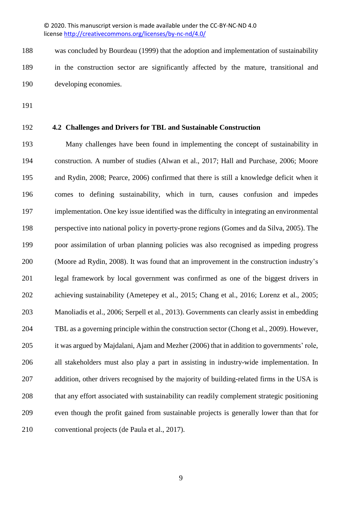was concluded by Bourdeau (1999) that the adoption and implementation of sustainability in the construction sector are significantly affected by the mature, transitional and developing economies.

- 
- 

# **4.2 Challenges and Drivers for TBL and Sustainable Construction**

 Many challenges have been found in implementing the concept of sustainability in construction. A number of studies (Alwan et al., 2017; Hall and Purchase, 2006; Moore and Rydin, 2008; Pearce, 2006) confirmed that there is still a knowledge deficit when it comes to defining sustainability, which in turn, causes confusion and impedes implementation. One key issue identified was the difficulty in integrating an environmental perspective into national policy in poverty-prone regions (Gomes and da Silva, 2005). The poor assimilation of urban planning policies was also recognised as impeding progress (Moore ad Rydin, 2008). It was found that an improvement in the construction industry's legal framework by local government was confirmed as one of the biggest drivers in achieving sustainability (Ametepey et al., 2015; Chang et al., 2016; Lorenz et al., 2005; Manoliadis et al., 2006; Serpell et al., 2013). Governments can clearly assist in embedding TBL as a governing principle within the construction sector (Chong et al., 2009). However, it was argued by Majdalani, Ajam and Mezher (2006) that in addition to governments' role, all stakeholders must also play a part in assisting in industry-wide implementation. In 207 addition, other drivers recognised by the majority of building-related firms in the USA is that any effort associated with sustainability can readily complement strategic positioning even though the profit gained from sustainable projects is generally lower than that for conventional projects (de Paula et al., 2017).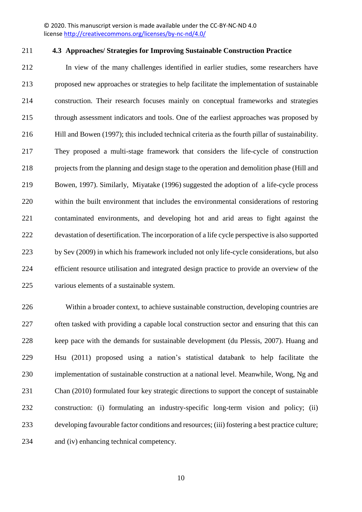# **4.3 Approaches/ Strategies for Improving Sustainable Construction Practice**

 In view of the many challenges identified in earlier studies, some researchers have proposed new approaches or strategies to help facilitate the implementation of sustainable construction. Their research focuses mainly on conceptual frameworks and strategies through assessment indicators and tools. One of the earliest approaches was proposed by Hill and Bowen (1997); this included technical criteria as the fourth pillar of sustainability. They proposed a multi-stage framework that considers the life-cycle of construction projects from the planning and design stage to the operation and demolition phase (Hill and Bowen, 1997). Similarly, Miyatake (1996) suggested the adoption of a life-cycle process within the built environment that includes the environmental considerations of restoring contaminated environments, and developing hot and arid areas to fight against the devastation of desertification. The incorporation of a life cycle perspective is also supported by Sev (2009) in which his framework included not only life-cycle considerations, but also efficient resource utilisation and integrated design practice to provide an overview of the various elements of a sustainable system.

 Within a broader context, to achieve sustainable construction, developing countries are often tasked with providing a capable local construction sector and ensuring that this can keep pace with the demands for sustainable development (du Plessis, 2007). Huang and Hsu (2011) proposed using a nation's statistical databank to help facilitate the implementation of sustainable construction at a national level. Meanwhile, Wong, Ng and Chan (2010) formulated four key strategic directions to support the concept of sustainable construction: (i) formulating an industry-specific long-term vision and policy; (ii) developing favourable factor conditions and resources; (iii) fostering a best practice culture; and (iv) enhancing technical competency.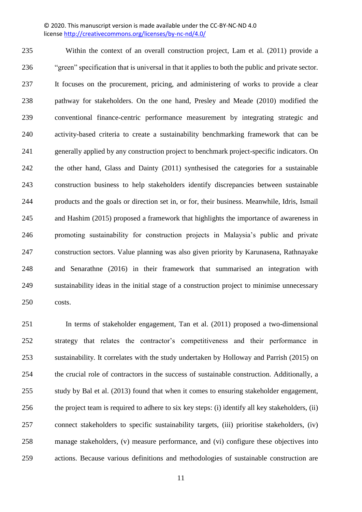Within the context of an overall construction project, Lam et al. (2011) provide a "green" specification that is universal in that it applies to both the public and private sector. It focuses on the procurement, pricing, and administering of works to provide a clear pathway for stakeholders. On the one hand, Presley and Meade (2010) modified the conventional finance-centric performance measurement by integrating strategic and activity-based criteria to create a sustainability benchmarking framework that can be generally applied by any construction project to benchmark project-specific indicators. On the other hand, Glass and Dainty (2011) synthesised the categories for a sustainable construction business to help stakeholders identify discrepancies between sustainable products and the goals or direction set in, or for, their business. Meanwhile, Idris, Ismail and Hashim (2015) proposed a framework that highlights the importance of awareness in promoting sustainability for construction projects in Malaysia's public and private construction sectors. Value planning was also given priority by Karunasena, Rathnayake and Senarathne (2016) in their framework that summarised an integration with sustainability ideas in the initial stage of a construction project to minimise unnecessary costs.

 In terms of stakeholder engagement, Tan et al. (2011) proposed a two-dimensional strategy that relates the contractor's competitiveness and their performance in sustainability. It correlates with the study undertaken by Holloway and Parrish (2015) on the crucial role of contractors in the success of sustainable construction. Additionally, a study by Bal et al. (2013) found that when it comes to ensuring stakeholder engagement, the project team is required to adhere to six key steps: (i) identify all key stakeholders, (ii) connect stakeholders to specific sustainability targets, (iii) prioritise stakeholders, (iv) manage stakeholders, (v) measure performance, and (vi) configure these objectives into actions. Because various definitions and methodologies of sustainable construction are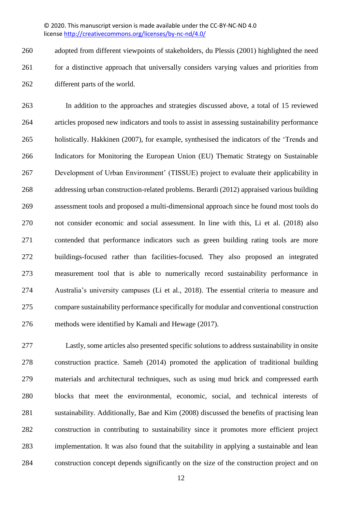adopted from different viewpoints of stakeholders, du Plessis (2001) highlighted the need 261 for a distinctive approach that universally considers varying values and priorities from different parts of the world.

 In addition to the approaches and strategies discussed above, a total of 15 reviewed articles proposed new indicators and tools to assist in assessing sustainability performance holistically. Hakkinen (2007), for example, synthesised the indicators of the 'Trends and Indicators for Monitoring the European Union (EU) Thematic Strategy on Sustainable Development of Urban Environment' (TISSUE) project to evaluate their applicability in addressing urban construction-related problems. Berardi (2012) appraised various building assessment tools and proposed a multi-dimensional approach since he found most tools do not consider economic and social assessment. In line with this, Li et al. (2018) also contended that performance indicators such as green building rating tools are more buildings-focused rather than facilities-focused. They also proposed an integrated measurement tool that is able to numerically record sustainability performance in Australia's university campuses (Li et al., 2018). The essential criteria to measure and compare sustainability performance specifically for modular and conventional construction methods were identified by Kamali and Hewage (2017).

 Lastly, some articles also presented specific solutions to address sustainability in onsite construction practice. Sameh (2014) promoted the application of traditional building materials and architectural techniques, such as using mud brick and compressed earth blocks that meet the environmental, economic, social, and technical interests of sustainability. Additionally, Bae and Kim (2008) discussed the benefits of practising lean construction in contributing to sustainability since it promotes more efficient project implementation. It was also found that the suitability in applying a sustainable and lean construction concept depends significantly on the size of the construction project and on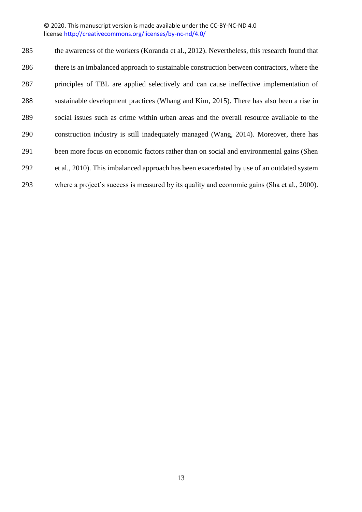285 the awareness of the workers (Koranda et al., 2012). Nevertheless, this research found that there is an imbalanced approach to sustainable construction between contractors, where the principles of TBL are applied selectively and can cause ineffective implementation of sustainable development practices (Whang and Kim, 2015). There has also been a rise in social issues such as crime within urban areas and the overall resource available to the construction industry is still inadequately managed (Wang, 2014). Moreover, there has been more focus on economic factors rather than on social and environmental gains (Shen et al., 2010). This imbalanced approach has been exacerbated by use of an outdated system where a project's success is measured by its quality and economic gains (Sha et al., 2000).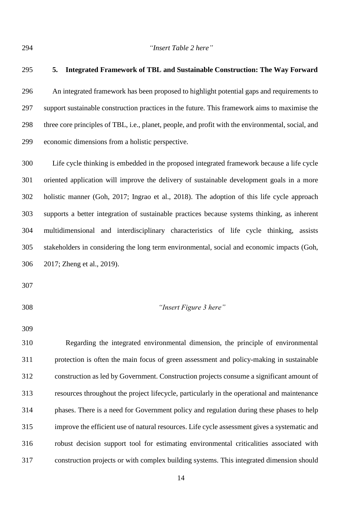*"Insert Table 2 here"*

# **5. Integrated Framework of TBL and Sustainable Construction: The Way Forward**

 An integrated framework has been proposed to highlight potential gaps and requirements to support sustainable construction practices in the future. This framework aims to maximise the three core principles of TBL, i.e., planet, people, and profit with the environmental, social, and economic dimensions from a holistic perspective.

 Life cycle thinking is embedded in the proposed integrated framework because a life cycle oriented application will improve the delivery of sustainable development goals in a more holistic manner (Goh, 2017; Ingrao et al., 2018). The adoption of this life cycle approach supports a better integration of sustainable practices because systems thinking, as inherent multidimensional and interdisciplinary characteristics of life cycle thinking, assists stakeholders in considering the long term environmental, social and economic impacts (Goh, 2017; Zheng et al., 2019).

- 
- 

# *"Insert Figure 3 here"*

 Regarding the integrated environmental dimension, the principle of environmental protection is often the main focus of green assessment and policy-making in sustainable construction as led by Government. Construction projects consume a significant amount of resources throughout the project lifecycle, particularly in the operational and maintenance phases. There is a need for Government policy and regulation during these phases to help improve the efficient use of natural resources. Life cycle assessment gives a systematic and robust decision support tool for estimating environmental criticalities associated with construction projects or with complex building systems. This integrated dimension should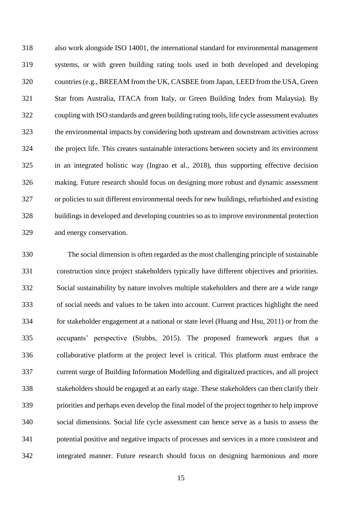also work alongside ISO 14001, the international standard for environmental management systems, or with green building rating tools used in both developed and developing countries (e.g., BREEAM from the UK, CASBEE from Japan, LEED from the USA, Green Star from Australia, ITACA from Italy, or Green Building Index from Malaysia). By coupling with ISO standards and green building rating tools, life cycle assessment evaluates the environmental impacts by considering both upstream and downstream activities across the project life. This creates sustainable interactions between society and its environment in an integrated holistic way (Ingrao et al., 2018), thus supporting effective decision making. Future research should focus on designing more robust and dynamic assessment or policies to suit different environmental needs for new buildings, refurbished and existing buildings in developed and developing countries so as to improve environmental protection and energy conservation.

 The social dimension is often regarded as the most challenging principle of sustainable construction since project stakeholders typically have different objectives and priorities. Social sustainability by nature involves multiple stakeholders and there are a wide range of social needs and values to be taken into account. Current practices highlight the need for stakeholder engagement at a national or state level (Huang and Hsu, 2011) or from the occupants' perspective (Stubbs, 2015). The proposed framework argues that a collaborative platform at the project level is critical. This platform must embrace the current surge of Building Information Modelling and digitalized practices, and all project stakeholders should be engaged at an early stage. These stakeholders can then clarify their priorities and perhaps even develop the final model of the project together to help improve social dimensions. Social life cycle assessment can hence serve as a basis to assess the potential positive and negative impacts of processes and services in a more consistent and integrated manner. Future research should focus on designing harmonious and more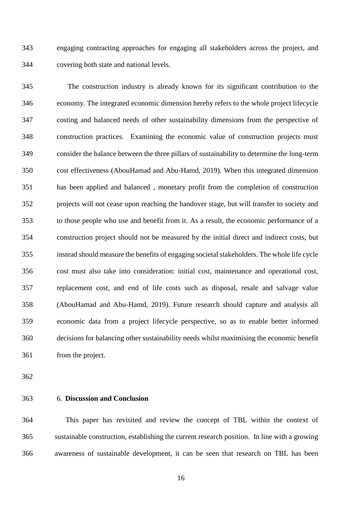engaging contracting approaches for engaging all stakeholders across the project, and covering both state and national levels.

 The construction industry is already known for its significant contribution to the economy. The integrated economic dimension hereby refers to the whole project lifecycle costing and balanced needs of other sustainability dimensions from the perspective of construction practices. Examining the economic value of construction projects must consider the balance between the three pillars of sustainability to determine the long-term cost effectiveness (AbouHamad and Abu-Hamd, 2019). When this integrated dimension has been applied and balanced , monetary profit from the completion of construction projects will not cease upon reaching the handover stage, but will transfer to society and to those people who use and benefit from it. As a result, the economic performance of a construction project should not be measured by the initial direct and indirect costs, but instead should measure the benefits of engaging societal stakeholders. The whole life cycle cost must also take into consideration: initial cost, maintenance and operational cost, replacement cost, and end of life costs such as disposal, resale and salvage value (AbouHamad and Abu-Hamd, 2019). Future research should capture and analysis all economic data from a project lifecycle perspective, so as to enable better informed decisions for balancing other sustainability needs whilst maximising the economic benefit from the project.

# 6. **Discussion and Conclusion**

 This paper has revisited and review the concept of TBL within the context of sustainable construction, establishing the current research position. In line with a growing awareness of sustainable development, it can be seen that research on TBL has been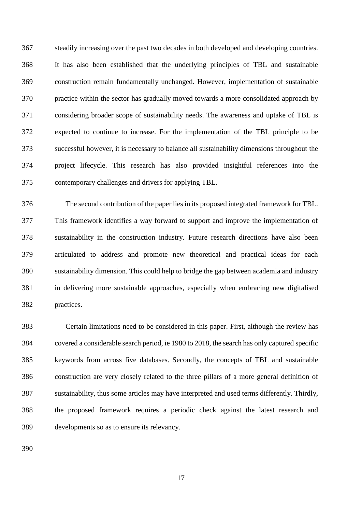steadily increasing over the past two decades in both developed and developing countries. It has also been established that the underlying principles of TBL and sustainable construction remain fundamentally unchanged. However, implementation of sustainable practice within the sector has gradually moved towards a more consolidated approach by considering broader scope of sustainability needs. The awareness and uptake of TBL is expected to continue to increase. For the implementation of the TBL principle to be successful however, it is necessary to balance all sustainability dimensions throughout the project lifecycle. This research has also provided insightful references into the contemporary challenges and drivers for applying TBL.

 The second contribution of the paper lies in its proposed integrated framework for TBL. This framework identifies a way forward to support and improve the implementation of sustainability in the construction industry. Future research directions have also been articulated to address and promote new theoretical and practical ideas for each sustainability dimension. This could help to bridge the gap between academia and industry in delivering more sustainable approaches, especially when embracing new digitalised practices.

 Certain limitations need to be considered in this paper. First, although the review has covered a considerable search period, ie 1980 to 2018, the search has only captured specific keywords from across five databases. Secondly, the concepts of TBL and sustainable construction are very closely related to the three pillars of a more general definition of sustainability, thus some articles may have interpreted and used terms differently. Thirdly, the proposed framework requires a periodic check against the latest research and developments so as to ensure its relevancy.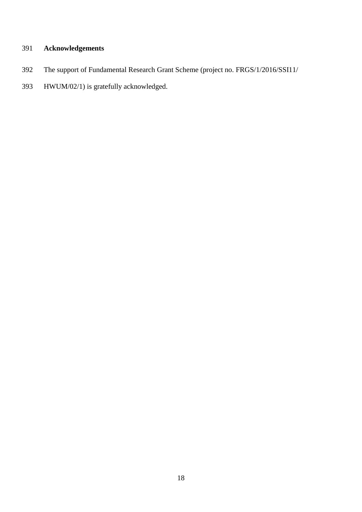# **Acknowledgements**

- The support of Fundamental Research Grant Scheme (project no. FRGS/1/2016/SSI11/
- HWUM/02/1) is gratefully acknowledged.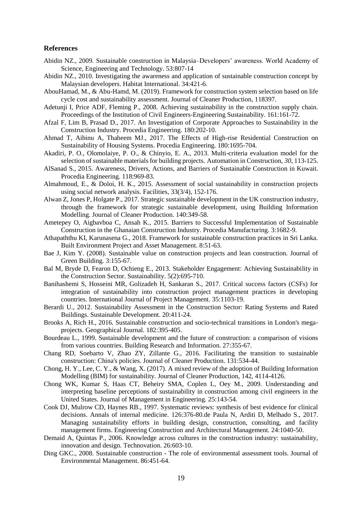#### **References**

- Abidin NZ., 2009. Sustainable construction in Malaysia–Developers' awareness. World Academy of Science, Engineering and Technology. 53:807-14
- Abidin NZ., 2010. Investigating the awareness and application of sustainable construction concept by Malaysian developers. Habitat International. 34:421-6.
- AbouHamad, M., & Abu-Hamd, M. (2019). Framework for construction system selection based on life cycle cost and sustainability assessment. Journal of Cleaner Production, 118397.
- Adetunji I, Price ADF, Fleming P., 2008. Achieving sustainability in the construction supply chain. Proceedings of the Institution of Civil Engineers-Engineering Sustainability. 161:161-72.
- Afzal F, Lim B, Prasad D., 2017. An Investigation of Corporate Approaches to Sustainability in the Construction Industry. Procedia Engineering. 180:202-10.
- Ahmad T, Aibinu A, Thaheem MJ., 2017. The Effects of High-rise Residential Construction on Sustainability of Housing Systems. Procedia Engineering. 180:1695-704.
- Akadiri, P. O., Olomolaiye, P. O., & Chinyio, E. A., 2013. Multi-criteria evaluation model for the selection of sustainable materials for building projects. Automation in Construction, *30*, 113-125.
- AlSanad S., 2015. Awareness, Drivers, Actions, and Barriers of Sustainable Construction in Kuwait. Procedia Engineering. 118:969-83.
- Almahmoud, E., & Doloi, H. K., 2015. Assessment of social sustainability in construction projects using social network analysis. Facilities, 33(3/4), 152-176.
- Alwan Z, Jones P, Holgate P., 2017. Strategic sustainable development in the UK construction industry, through the framework for strategic sustainable development, using Building Information Modelling. Journal of Cleaner Production. 140:349-58.
- Ametepey O, Aigbavboa C, Ansah K., 2015. Barriers to Successful Implementation of Sustainable Construction in the Ghanaian Construction Industry. Procedia Manufacturing. 3:1682-9.
- Athapaththu KI, Karunasena G., 2018. Framework for sustainable construction practices in Sri Lanka. Built Environment Project and Asset Management. 8:51-63.
- Bae J, Kim Y. (2008). Sustainable value on construction projects and lean construction. Journal of Green Building. 3:155-67.
- Bal M, Bryde D, Fearon D, Ochieng E., 2013. Stakeholder Engagement: Achieving Sustainability in the Construction Sector. Sustainability. 5(2):695-710.
- Banihashemi S, Hosseini MR, Golizadeh H, Sankaran S., 2017. Critical success factors (CSFs) for integration of sustainability into construction project management practices in developing countries. International Journal of Project Management. 35:1103-19.
- Berardi U., 2012. Sustainability Assessment in the Construction Sector: Rating Systems and Rated Buildings. Sustainable Development. 20:411-24.
- Brooks A, Rich H., 2016. Sustainable construction and socio-technical transitions in London's megaprojects. Geographical Journal. 182:395-405.
- Bourdeau L., 1999. Sustainable development and the future of construction: a comparison of visions from various countries. Building Research and Information. 27:355-67.
- Chang RD, Soebarto V, Zhao ZY, Zillante G., 2016. Facilitating the transition to sustainable construction: China's policies. Journal of Cleaner Production. 131:534-44.
- Chong, H. Y., Lee, C. Y., & Wang, X. (2017). A mixed review of the adoption of Building Information Modelling (BIM) for sustainability. Journal of Cleaner Production, 142, 4114-4126.
- Chong WK, Kumar S, Haas CT, Beheiry SMA, Coplen L, Oey M., 2009. Understanding and interpreting baseline perceptions of sustainability in construction among civil engineers in the United States. Journal of Management in Engineering. 25:143-54.
- Cook DJ, Mulrow CD, Haynes RB., 1997. Systematic reviews: synthesis of best evidence for clinical decisions. Annals of internal medicine. 126:376-80.de Paula N, Arditi D, Melhado S., 2017. Managing sustainability efforts in building design, construction, consulting, and facility management firms. Engineering Construction and Architectural Management. 24:1040-50.
- Demaid A, Quintas P., 2006. Knowledge across cultures in the construction industry: sustainability, innovation and design. Technovation. 26:603-10.
- Ding GKC., 2008. Sustainable construction The role of environmental assessment tools. Journal of Environmental Management. 86:451-64.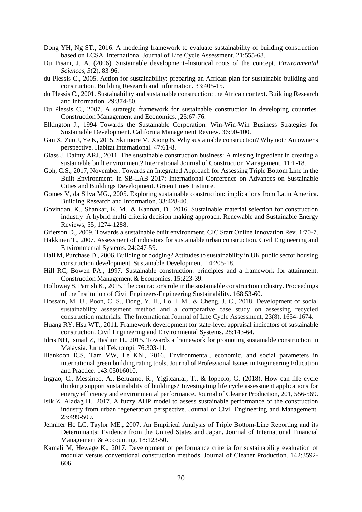- Dong YH, Ng ST., 2016. A modeling framework to evaluate sustainability of building construction based on LCSA. International Journal of Life Cycle Assessment. 21:555-68.
- Du Pisani, J. A. (2006). Sustainable development–historical roots of the concept. *Environmental Sciences*, *3*(2), 83-96.
- du Plessis C., 2005. Action for sustainability: preparing an African plan for sustainable building and construction. Building Research and Information. 33:405-15.
- du Plessis C., 2001. Sustainability and sustainable construction: the African context. Building Research and Information. 29:374-80.
- Du Plessis C., 2007. A strategic framework for sustainable construction in developing countries. Construction Management and Economics. ;25:67-76.
- Elkington J., 1994 Towards the Sustainable Corporation: Win-Win-Win Business Strategies for Sustainable Development. California Management Review. 36:90-100.
- Gan X, Zuo J, Ye K, 2015. Skitmore M, Xiong B. Why sustainable construction? Why not? An owner's perspective. Habitat International. 47:61-8.
- Glass J, Dainty ARJ., 2011. The sustainable construction business: A missing ingredient in creating a sustainable built environment? International Journal of Construction Management. 11:1-18.
- Goh, C.S., 2017, November. Towards an Integrated Approach for Assessing Triple Bottom Line in the Built Environment. In SB-LAB 2017: International Conference on Advances on Sustainable Cities and Buildings Development. Green Lines Institute.
- Gomes V, da Silva MG., 2005. Exploring sustainable construction: implications from Latin America. Building Research and Information. 33:428-40.
- Govindan, K., Shankar, K. M., & Kannan, D., 2016. Sustainable material selection for construction industry–A hybrid multi criteria decision making approach. Renewable and Sustainable Energy Reviews, 55, 1274-1288.
- Grierson D., 2009. Towards a sustainable built environment. CIC Start Online Innovation Rev. 1:70-7.
- Hakkinen T., 2007. Assessment of indicators for sustainable urban construction. Civil Engineering and Environmental Systems. 24:247-59.
- Hall M, Purchase D., 2006. Building or bodging? Attitudes to sustainability in UK public sector housing construction development. Sustainable Development. 14:205-18.
- Hill RC, Bowen PA., 1997. Sustainable construction: principles and a framework for attainment. Construction Management & Economics. 15:223-39.
- Holloway S, Parrish K., 2015. The contractor's role in the sustainable construction industry. Proceedings of the Institution of Civil Engineers-Engineering Sustainability. 168:53-60.
- Hossain, M. U., Poon, C. S., Dong, Y. H., Lo, I. M., & Cheng, J. C., 2018. Development of social sustainability assessment method and a comparative case study on assessing recycled construction materials. The International Journal of Life Cycle Assessment, 23(8), 1654-1674.
- Huang RY, Hsu WT., 2011. Framework development for state-level appraisal indicators of sustainable construction. Civil Engineering and Environmental Systems. 28:143-64.
- Idris NH, Ismail Z, Hashim H., 2015. Towards a framework for promoting sustainable construction in Malaysia. Jurnal Teknologi. 76:303-11.
- Illankoon ICS, Tam VW, Le KN., 2016. Environmental, economic, and social parameters in international green building rating tools. Journal of Professional Issues in Engineering Education and Practice. 143:05016010.
- Ingrao, C., Messineo, A., Beltramo, R., Yigitcanlar, T., & Ioppolo, G. (2018). How can life cycle thinking support sustainability of buildings? Investigating life cycle assessment applications for energy efficiency and environmental performance. Journal of Cleaner Production, 201, 556-569.
- Isik Z, Aladag H., 2017. A fuzzy AHP model to assess sustainable performance of the construction industry from urban regeneration perspective. Journal of Civil Engineering and Management. 23:499-509.
- Jennifer Ho LC, Taylor ME., 2007. An Empirical Analysis of Triple Bottom-Line Reporting and its Determinants: Evidence from the United States and Japan. Journal of International Financial Management & Accounting. 18:123-50.
- Kamali M, Hewage K., 2017. Development of performance criteria for sustainability evaluation of modular versus conventional construction methods. Journal of Cleaner Production. 142:3592- 606.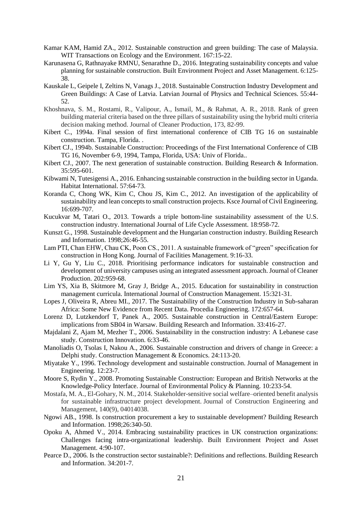- Kamar KAM, Hamid ZA., 2012. Sustainable construction and green building: The case of Malaysia. WIT Transactions on Ecology and the Environment. 167:15-22.
- Karunasena G, Rathnayake RMNU, Senarathne D., 2016. Integrating sustainability concepts and value planning for sustainable construction. Built Environment Project and Asset Management. 6:125- 38.
- Kauskale L, Geipele I, Zeltins N, Vanags J., 2018. Sustainable Construction Industry Development and Green Buildings: A Case of Latvia. Latvian Journal of Physics and Technical Sciences. 55:44- 52.
- Khoshnava, S. M., Rostami, R., Valipour, A., Ismail, M., & Rahmat, A. R., 2018. Rank of green building material criteria based on the three pillars of sustainability using the hybrid multi criteria decision making method. Journal of Cleaner Production, 173, 82-99.
- Kibert C., 1994a. Final session of first international conference of CIB TG 16 on sustainable construction. Tampa, Florida. .
- Kibert CJ., 1994b. Sustainable Construction: Proceedings of the First International Conference of CIB TG 16, November 6-9, 1994, Tampa, Florida, USA: Univ of Florida..
- Kibert CJ., 2007. The next generation of sustainable construction. Building Research & Information. 35:595-601.
- Kibwami N, Tutesigensi A., 2016. Enhancing sustainable construction in the building sector in Uganda. Habitat International. 57:64-73.
- Koranda C, Chong WK, Kim C, Chou JS, Kim C., 2012. An investigation of the applicability of sustainability and lean concepts to small construction projects. Ksce Journal of Civil Engineering. 16:699-707.
- Kucukvar M, Tatari O., 2013. Towards a triple bottom-line sustainability assessment of the U.S. construction industry. International Journal of Life Cycle Assessment. 18:958-72.
- Kunszt G., 1998. Sustainable development and the Hungarian construction industry. Building Research and Information. 1998;26:46-55.
- Lam PTI, Chan EHW, Chau CK, Poon CS., 2011. A sustainable framework of "green" specification for construction in Hong Kong. Journal of Facilities Management. 9:16-33.
- Li Y, Gu Y, Liu C., 2018. Prioritising performance indicators for sustainable construction and development of university campuses using an integrated assessment approach. Journal of Cleaner Production. 202:959-68.
- Lim YS, Xia B, Skitmore M, Gray J, Bridge A., 2015. Education for sustainability in construction management curricula. International Journal of Construction Management. 15:321-31.
- Lopes J, Oliveira R, Abreu MI., 2017. The Sustainability of the Construction Industry in Sub-saharan Africa: Some New Evidence from Recent Data. Procedia Engineering. 172:657-64.
- Lorenz D, Lutzkendorf T, Panek A., 2005. Sustainable construction in Central/Eastern Europe: implications from SB04 in Warsaw. Building Research and Information. 33:416-27.
- Majdalani Z, Ajam M, Mezher T., 2006. Sustainability in the construction industry: A Lebanese case study. Construction Innovation. 6:33-46.
- Manoliadis O, Tsolas I, Nakou A., 2006. Sustainable construction and drivers of change in Greece: a Delphi study. Construction Management & Economics. 24:113-20.
- Miyatake Y., 1996. Technology development and sustainable construction. Journal of Management in Engineering. 12:23-7.
- Moore S, Rydin Y., 2008. Promoting Sustainable Construction: European and British Networks at the Knowledge-Policy Interface. Journal of Environmental Policy & Planning. 10:233-54.
- Mostafa, M. A., El-Gohary, N. M., 2014. Stakeholder-sensitive social welfare–oriented benefit analysis for sustainable infrastructure project development. Journal of Construction Engineering and Management, 140(9), 04014038.
- Ngowi AB., 1998. Is construction procurement a key to sustainable development? Building Research and Information. 1998;26:340-50.
- Opoku A, Ahmed V., 2014. Embracing sustainability practices in UK construction organizations: Challenges facing intra-organizational leadership. Built Environment Project and Asset Management. 4:90-107.
- Pearce D., 2006. Is the construction sector sustainable?: Definitions and reflections. Building Research and Information. 34:201-7.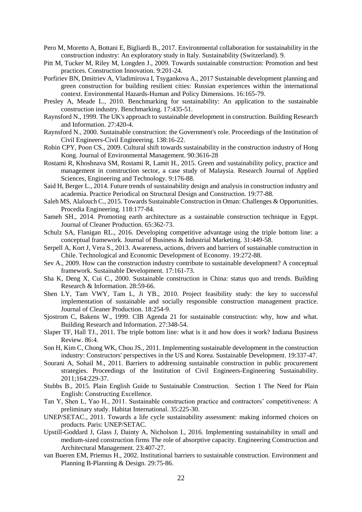- Pero M, Moretto A, Bottani E, Bigliardi B., 2017. Environmental collaboration for sustainability in the construction industry: An exploratory study in Italy. Sustainability (Switzerland). 9.
- Pitt M, Tucker M, Riley M, Longden J., 2009. Towards sustainable construction: Promotion and best practices. Construction Innovation. 9:201-24.
- Porfiriev BN, Dmitriev A, Vladimirova I, Tsygankova A., 2017 Sustainable development planning and green construction for building resilient cities: Russian experiences within the international context. Environmental Hazards-Human and Policy Dimensions. 16:165-79.
- Presley A, Meade L., 2010. Benchmarking for sustainability: An application to the sustainable construction industry. Benchmarking. 17:435-51.
- Raynsford N., 1999. The UK's approach to sustainable development in construction. Building Research and Information. 27:420-4.
- Raynsford N., 2000. Sustainable construction: the Government's role. Proceedings of the Institution of Civil Engineers-Civil Engineering. 138:16-22.
- Robin CPY, Poon CS., 2009. Cultural shift towards sustainability in the construction industry of Hong Kong. Journal of Environmental Management. 90:3616-28
- Rostami R, Khoshnava SM, Rostami R, Lamit H., 2015. Green and sustainability policy, practice and management in construction sector, a case study of Malaysia. Research Journal of Applied Sciences, Engineering and Technology. 9:176-88.
- Said H, Berger L., 2014. Future trends of sustainability design and analysis in construction industry and academia. Practice Periodical on Structural Design and Construction. 19:77-88.
- Saleh MS, Alalouch C., 2015. Towards Sustainable Construction in Oman: Challenges & Opportunities. Procedia Engineering. 118:177-84.
- Sameh SH., 2014. Promoting earth architecture as a sustainable construction technique in Egypt. Journal of Cleaner Production. 65:362-73.
- Schulz SA, Flanigan RL., 2016. Developing competitive advantage using the triple bottom line: a conceptual framework. Journal of Business & Industrial Marketing. 31:449-58.
- Serpell A, Kort J, Vera S., 2013. Awareness, actions, drivers and barriers of sustainable construction in Chile. Technological and Economic Development of Economy. 19:272-88.
- Sev A., 2009. How can the construction industry contribute to sustainable development? A conceptual framework. Sustainable Development. 17:161-73.
- Sha K, Deng X, Cui C., 2000. Sustainable construction in China: status quo and trends. Building Research & Information. 28:59-66.
- Shen LY, Tam VWY, Tam L, Ji YB., 2010. Project feasibility study: the key to successful implementation of sustainable and socially responsible construction management practice. Journal of Cleaner Production. 18:254-9.
- Sjostrom C, Bakens W., 1999. CIB Agenda 21 for sustainable construction: why, how and what. Building Research and Information. 27:348-54.
- Slaper TF, Hall TJ., 2011. The triple bottom line: what is it and how does it work? Indiana Business Review. 86:4.
- Son H, Kim C, Chong WK, Chou JS., 2011. Implementing sustainable development in the construction industry: Constructors' perspectives in the US and Korea. Sustainable Development. 19:337-47.
- Sourani A, Sohail M., 2011. Barriers to addressing sustainable construction in public procurement strategies. Proceedings of the Institution of Civil Engineers-Engineering Sustainability. 2011;164:229-37.
- Stubbs B., 2015. Plain English Guide to Sustainable Construction. Section 1 The Need for Plain English: Constructing Excellence.
- Tan Y, Shen L, Yao H., 2011. Sustainable construction practice and contractors' competitiveness: A preliminary study. Habitat International. 35:225-30.
- UNEP/SETAC., 2011. Towards a life cycle sustainability assessment: making informed choices on products. Paris: UNEP/SETAC.
- Upstill-Goddard J, Glass J, Dainty A, Nicholson I., 2016. Implementing sustainability in small and medium-sized construction firms The role of absorptive capacity. Engineering Construction and Architectural Management. 23:407-27.
- van Bueren EM, Priemus H., 2002. Institutional barriers to sustainable construction. Environment and Planning B-Planning & Design. 29:75-86.